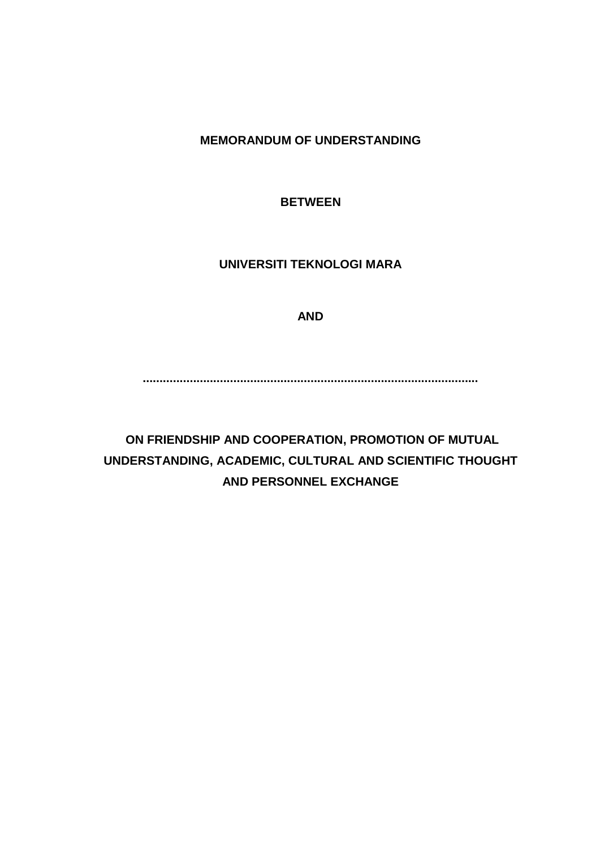**MEMORANDUM OF UNDERSTANDING**

**BETWEEN**

**UNIVERSITI TEKNOLOGI MARA**

**AND**

**....................................................................................................**

**ON FRIENDSHIP AND COOPERATION, PROMOTION OF MUTUAL UNDERSTANDING, ACADEMIC, CULTURAL AND SCIENTIFIC THOUGHT AND PERSONNEL EXCHANGE**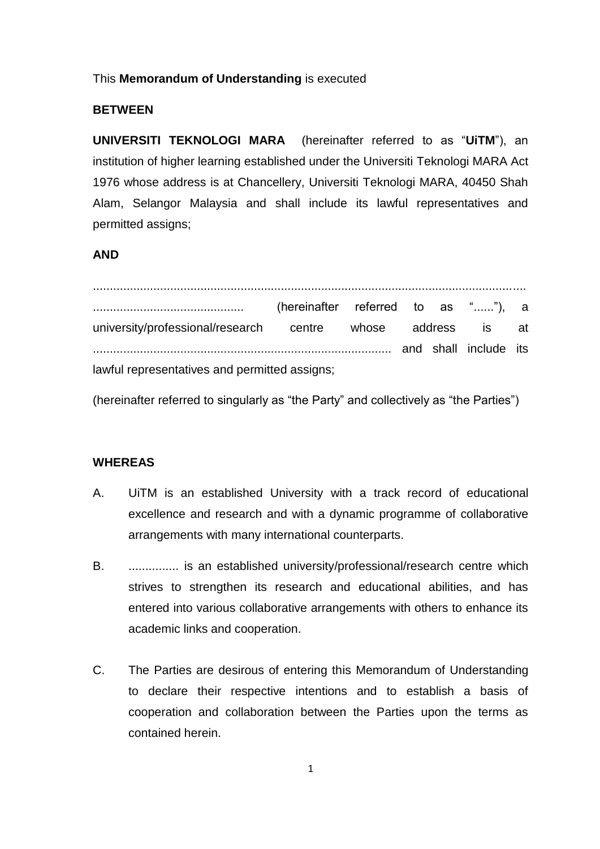### This **Memorandum of Understanding** is executed

### **BETWEEN**

**UNIVERSITI TEKNOLOGI MARA** (hereinafter referred to as "**UiTM**"), an institution of higher learning established under the Universiti Teknologi MARA Act 1976 whose address is at Chancellery, Universiti Teknologi MARA, 40450 Shah Alam, Selangor Malaysia and shall include its lawful representatives and permitted assigns;

### **AND**

................................................................................................................................. ............................................. (hereinafter referred to as "......"), a university/professional/research centre whose address is at ......................................................................................... and shall include its lawful representatives and permitted assigns;

(hereinafter referred to singularly as "the Party" and collectively as "the Parties")

#### **WHEREAS**

- A. UiTM is an established University with a track record of educational excellence and research and with a dynamic programme of collaborative arrangements with many international counterparts.
- B. ............... is an established university/professional/research centre which strives to strengthen its research and educational abilities, and has entered into various collaborative arrangements with others to enhance its academic links and cooperation.
- C. The Parties are desirous of entering this Memorandum of Understanding to declare their respective intentions and to establish a basis of cooperation and collaboration between the Parties upon the terms as contained herein.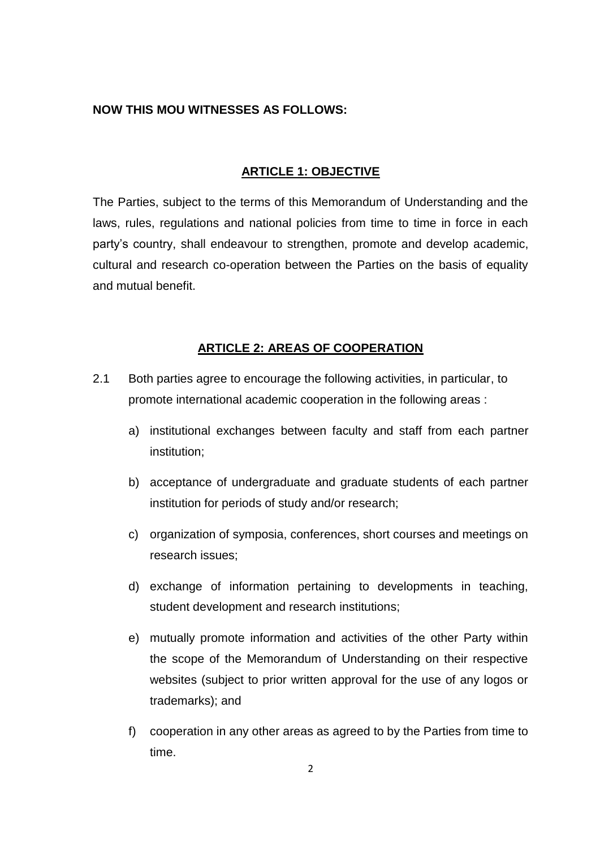# **NOW THIS MOU WITNESSES AS FOLLOWS:**

### **ARTICLE 1: OBJECTIVE**

The Parties, subject to the terms of this Memorandum of Understanding and the laws, rules, regulations and national policies from time to time in force in each party's country, shall endeavour to strengthen, promote and develop academic, cultural and research co-operation between the Parties on the basis of equality and mutual benefit.

### **ARTICLE 2: AREAS OF COOPERATION**

- 2.1 Both parties agree to encourage the following activities, in particular, to promote international academic cooperation in the following areas :
	- a) institutional exchanges between faculty and staff from each partner institution;
	- b) acceptance of undergraduate and graduate students of each partner institution for periods of study and/or research;
	- c) organization of symposia, conferences, short courses and meetings on research issues;
	- d) exchange of information pertaining to developments in teaching, student development and research institutions;
	- e) mutually promote information and activities of the other Party within the scope of the Memorandum of Understanding on their respective websites (subject to prior written approval for the use of any logos or trademarks); and
	- f) cooperation in any other areas as agreed to by the Parties from time to time.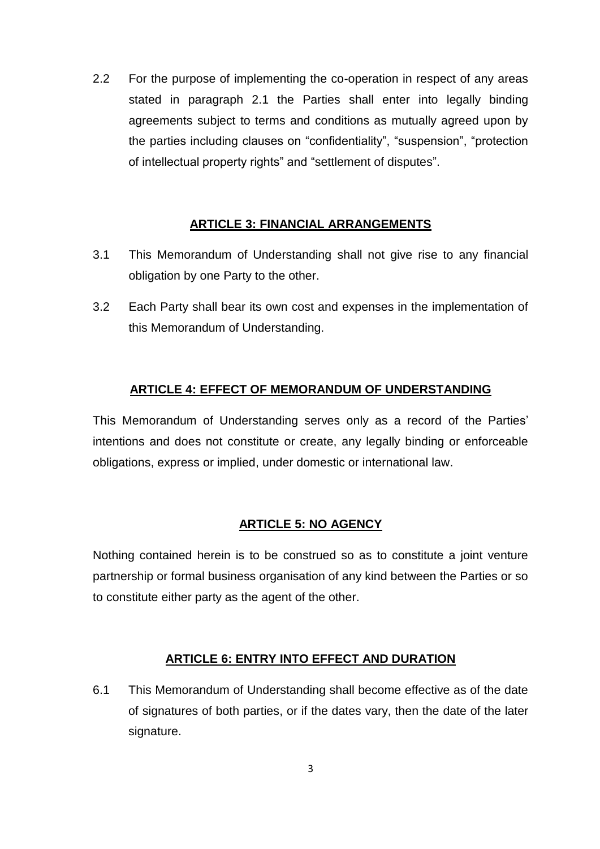2.2 For the purpose of implementing the co-operation in respect of any areas stated in paragraph 2.1 the Parties shall enter into legally binding agreements subject to terms and conditions as mutually agreed upon by the parties including clauses on "confidentiality", "suspension", "protection of intellectual property rights" and "settlement of disputes".

# **ARTICLE 3: FINANCIAL ARRANGEMENTS**

- 3.1 This Memorandum of Understanding shall not give rise to any financial obligation by one Party to the other.
- 3.2 Each Party shall bear its own cost and expenses in the implementation of this Memorandum of Understanding.

# **ARTICLE 4: EFFECT OF MEMORANDUM OF UNDERSTANDING**

This Memorandum of Understanding serves only as a record of the Parties' intentions and does not constitute or create, any legally binding or enforceable obligations, express or implied, under domestic or international law.

# **ARTICLE 5: NO AGENCY**

Nothing contained herein is to be construed so as to constitute a joint venture partnership or formal business organisation of any kind between the Parties or so to constitute either party as the agent of the other.

# **ARTICLE 6: ENTRY INTO EFFECT AND DURATION**

6.1 This Memorandum of Understanding shall become effective as of the date of signatures of both parties, or if the dates vary, then the date of the later signature.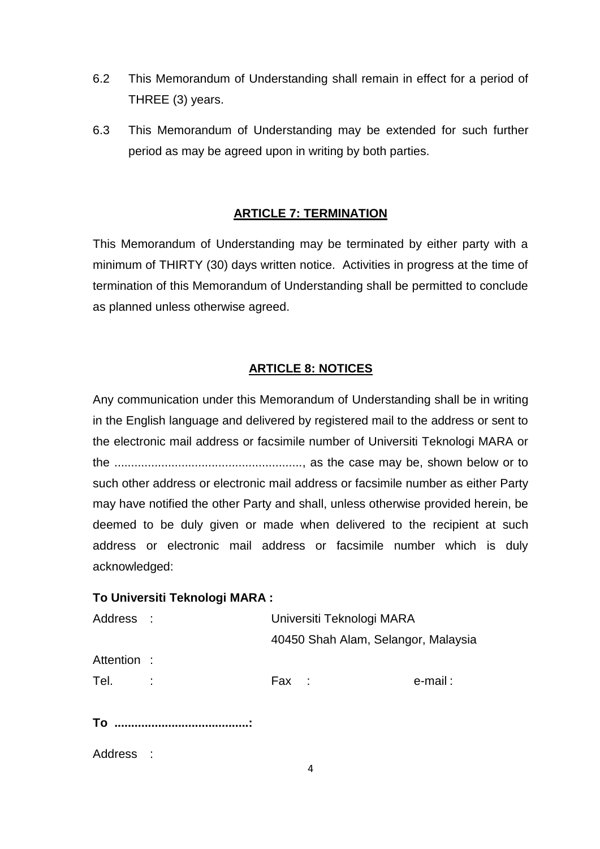- 6.2 This Memorandum of Understanding shall remain in effect for a period of THREE (3) years.
- 6.3 This Memorandum of Understanding may be extended for such further period as may be agreed upon in writing by both parties.

# **ARTICLE 7: TERMINATION**

This Memorandum of Understanding may be terminated by either party with a minimum of THIRTY (30) days written notice. Activities in progress at the time of termination of this Memorandum of Understanding shall be permitted to conclude as planned unless otherwise agreed.

# **ARTICLE 8: NOTICES**

Any communication under this Memorandum of Understanding shall be in writing in the English language and delivered by registered mail to the address or sent to the electronic mail address or facsimile number of Universiti Teknologi MARA or the ........................................................, as the case may be, shown below or to such other address or electronic mail address or facsimile number as either Party may have notified the other Party and shall, unless otherwise provided herein, be deemed to be duly given or made when delivered to the recipient at such address or electronic mail address or facsimile number which is duly acknowledged:

# **To Universiti Teknologi MARA :**

| Address :   | Universiti Teknologi MARA |                                     |         |
|-------------|---------------------------|-------------------------------------|---------|
|             |                           | 40450 Shah Alam, Selangor, Malaysia |         |
| Attention : |                           |                                     |         |
| Tel.        | Fax :                     |                                     | e-mail: |
|             |                           |                                     |         |

**To ........................................:**

| Address |  |
|---------|--|
|         |  |